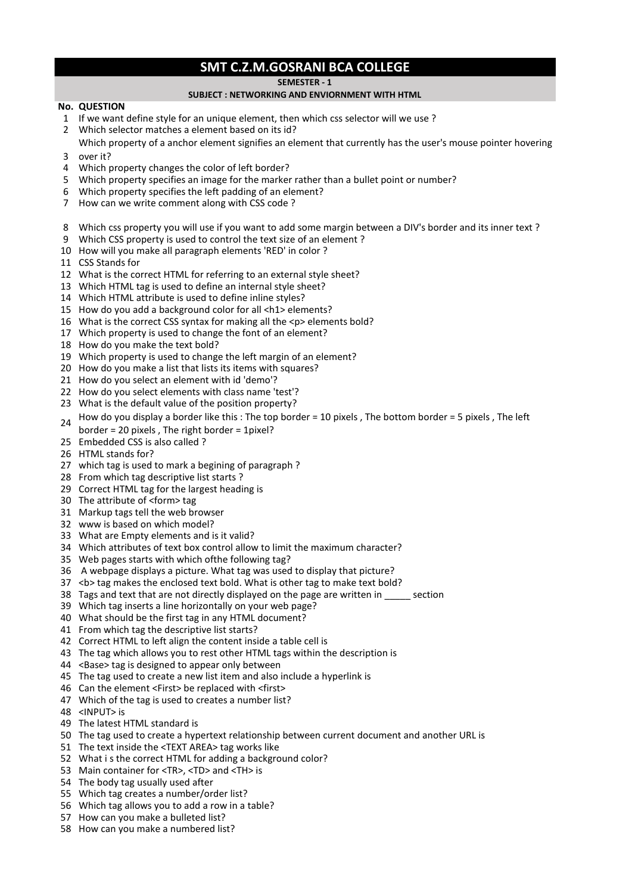## **SMT C.Z.M.GOSRANI BCA COLLEGE**

**SEMESTER - 1** 

## **SUBJECT : NETWORKING AND ENVIORNMENT WITH HTML**

## **No. QUESTION**

- If we want define style for an unique element, then which css selector will we use ?
- Which selector matches a element based on its id?
- over it? Which property of a anchor element signifies an element that currently has the user's mouse pointer hovering
- Which property changes the color of left border?
- Which property specifies an image for the marker rather than a bullet point or number?
- Which property specifies the left padding of an element?
- How can we write comment along with CSS code ?
- Which css property you will use if you want to add some margin between a DIV's border and its inner text ?
- Which CSS property is used to control the text size of an element ?
- How will you make all paragraph elements 'RED' in color ?
- CSS Stands for
- What is the correct HTML for referring to an external style sheet?
- Which HTML tag is used to define an internal style sheet?
- Which HTML attribute is used to define inline styles?
- How do you add a background color for all <h1> elements?
- What is the correct CSS syntax for making all the <p> elements bold?
- Which property is used to change the font of an element?
- How do you make the text bold?
- Which property is used to change the left margin of an element?
- How do you make a list that lists its items with squares?
- How do you select an element with id 'demo'?
- How do you select elements with class name 'test'?
- What is the default value of the position property?
- How do you display a border like this : The top border = 10 pixels , The bottom border = 5 pixels , The left
- border = 20 pixels , The right border = 1pixel?
- Embedded CSS is also called ?
- HTML stands for?
- which tag is used to mark a begining of paragraph ?
- From which tag descriptive list starts ?
- Correct HTML tag for the largest heading is
- The attribute of <form> tag
- Markup tags tell the web browser
- www is based on which model?
- What are Empty elements and is it valid?
- Which attributes of text box control allow to limit the maximum character?
- Web pages starts with which ofthe following tag?
- 36 A webpage displays a picture. What tag was used to display that picture?
- 37 < b> tag makes the enclosed text bold. What is other tag to make text bold?
- Tags and text that are not directly displayed on the page are written in \_\_\_\_\_ section
- Which tag inserts a line horizontally on your web page?
- What should be the first tag in any HTML document?
- From which tag the descriptive list starts?
- Correct HTML to left align the content inside a table cell is
- The tag which allows you to rest other HTML tags within the description is
- <Base> tag is designed to appear only between
- The tag used to create a new list item and also include a hyperlink is
- Can the element <First> be replaced with <first>
- Which of the tag is used to creates a number list?
- <INPUT> is
- The latest HTML standard is
- The tag used to create a hypertext relationship between current document and another URL is
- The text inside the <TEXT AREA> tag works like
- What i s the correct HTML for adding a background color?
- Main container for <TR>, <TD> and <TH> is
- The body tag usually used after
- Which tag creates a number/order list?
- Which tag allows you to add a row in a table?
- How can you make a bulleted list?
- How can you make a numbered list?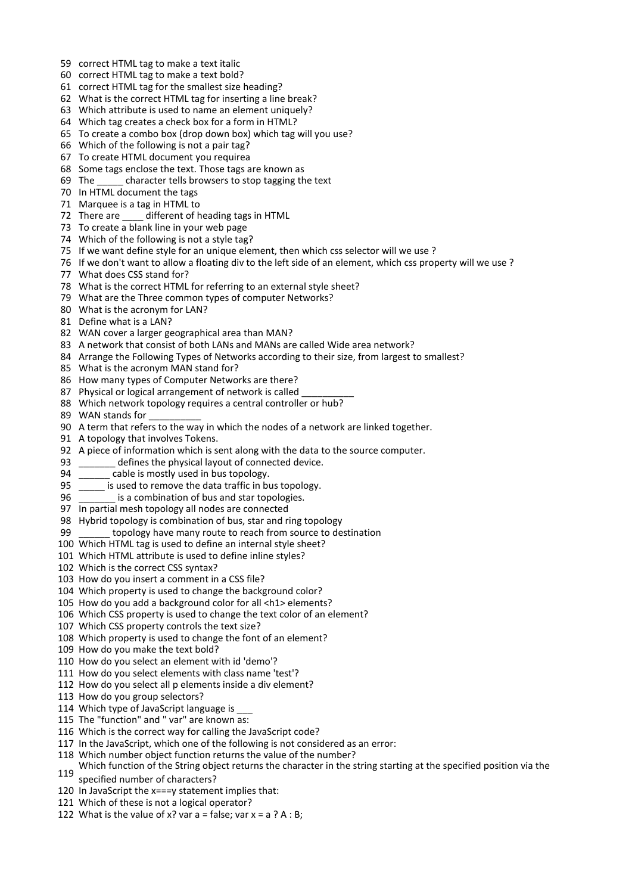- correct HTML tag to make a text italic
- correct HTML tag to make a text bold?
- correct HTML tag for the smallest size heading?
- What is the correct HTML tag for inserting a line break?
- Which attribute is used to name an element uniquely?
- Which tag creates a check box for a form in HTML?
- To create a combo box (drop down box) which tag will you use?
- Which of the following is not a pair tag?
- To create HTML document you requirea
- Some tags enclose the text. Those tags are known as
- 69 The character tells browsers to stop tagging the text
- In HTML document the tags
- Marquee is a tag in HTML to
- 72 There are \_\_\_\_\_ different of heading tags in HTML
- To create a blank line in your web page
- Which of the following is not a style tag?
- If we want define style for an unique element, then which css selector will we use ?
- If we don't want to allow a floating div to the left side of an element, which css property will we use ?
- What does CSS stand for?
- What is the correct HTML for referring to an external style sheet?
- What are the Three common types of computer Networks?
- What is the acronym for LAN?
- Define what is a LAN?
- WAN cover a larger geographical area than MAN?
- A network that consist of both LANs and MANs are called Wide area network?
- 84 Arrange the Following Types of Networks according to their size, from largest to smallest?
- What is the acronym MAN stand for?
- How many types of Computer Networks are there?
- 87 Physical or logical arrangement of network is called
- Which network topology requires a central controller or hub?
- 89 WAN stands for
- A term that refers to the way in which the nodes of a network are linked together.
- A topology that involves Tokens.
- A piece of information which is sent along with the data to the source computer.
- \_\_\_\_\_\_\_ defines the physical layout of connected device.
- \_\_\_\_\_\_ cable is mostly used in bus topology.
- \_\_\_\_\_ is used to remove the data traffic in bus topology.
- \_\_\_\_\_\_\_ is a combination of bus and star topologies.
- In partial mesh topology all nodes are connected
- Hybrid topology is combination of bus, star and ring topology
- \_\_\_\_\_\_ topology have many route to reach from source to destination
- Which HTML tag is used to define an internal style sheet?
- Which HTML attribute is used to define inline styles?
- Which is the correct CSS syntax?
- How do you insert a comment in a CSS file?
- Which property is used to change the background color?
- How do you add a background color for all <h1> elements?
- Which CSS property is used to change the text color of an element?
- Which CSS property controls the text size?
- Which property is used to change the font of an element?
- How do you make the text bold?
- How do you select an element with id 'demo'?
- How do you select elements with class name 'test'?
- How do you select all p elements inside a div element?
- How do you group selectors?
- 114 Which type of JavaScript language is
- The "function" and " var" are known as:
- Which is the correct way for calling the JavaScript code?
- In the JavaScript, which one of the following is not considered as an error:
- Which number object function returns the value of the number?
- Which function of the String object returns the character in the string starting at the specified position via the
- specified number of characters?
- In JavaScript the x===y statement implies that:
- Which of these is not a logical operator?
- 122 What is the value of x? var  $a = false$ ; var  $x = a ? A : B$ ;